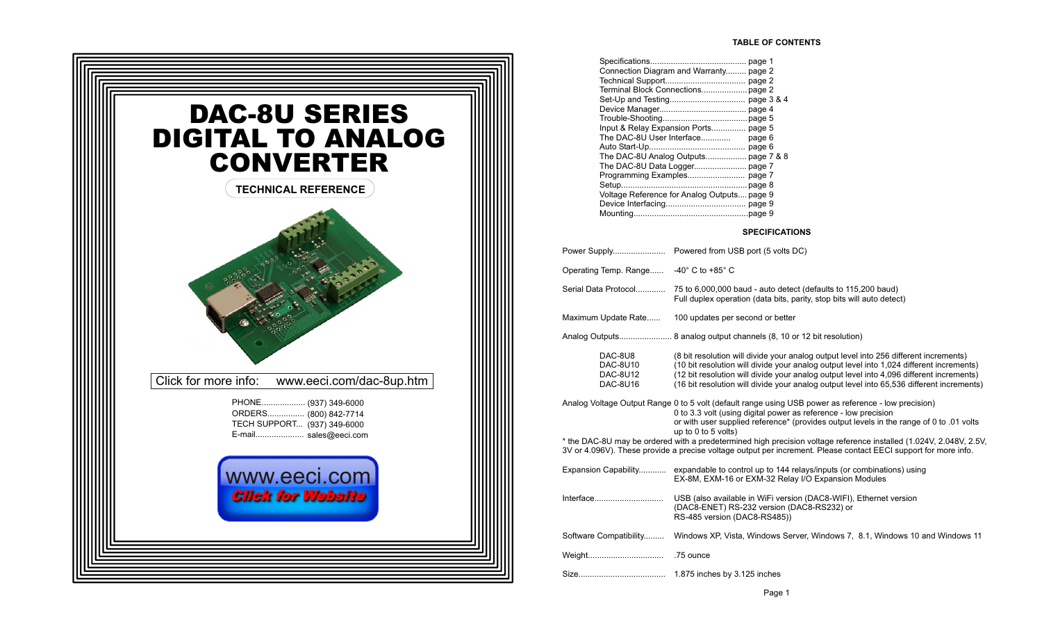

| Connection Diagram and Warranty page 2      |  |
|---------------------------------------------|--|
|                                             |  |
| Terminal Block Connections page 2           |  |
|                                             |  |
|                                             |  |
|                                             |  |
| Input & Relay Expansion Ports page 5        |  |
| The DAC-8U User Interface page 6            |  |
|                                             |  |
|                                             |  |
|                                             |  |
|                                             |  |
|                                             |  |
| Voltage Reference for Analog Outputs page 9 |  |
|                                             |  |
|                                             |  |
|                                             |  |

#### **SPECIFICATIONS**

| Operating Temp. Range -40° C to +85° C      |                                                                                                                                                                                                                                                                                                                                                                                                                                                                                                                                        |
|---------------------------------------------|----------------------------------------------------------------------------------------------------------------------------------------------------------------------------------------------------------------------------------------------------------------------------------------------------------------------------------------------------------------------------------------------------------------------------------------------------------------------------------------------------------------------------------------|
| Serial Data Protocol                        | 75 to 6,000,000 baud - auto detect (defaults to 115,200 baud)<br>Full duplex operation (data bits, parity, stop bits will auto detect)                                                                                                                                                                                                                                                                                                                                                                                                 |
| Maximum Update Rate                         | 100 updates per second or better                                                                                                                                                                                                                                                                                                                                                                                                                                                                                                       |
|                                             |                                                                                                                                                                                                                                                                                                                                                                                                                                                                                                                                        |
| DAC-8U8<br>DAC-8U10<br>DAC-8U12<br>DAC-8U16 | (8 bit resolution will divide your analog output level into 256 different increments)<br>(10 bit resolution will divide your analog output level into 1,024 different increments)<br>(12 bit resolution will divide your analog output level into 4,096 different increments)<br>(16 bit resolution will divide your analog output level into 65,536 different increments)                                                                                                                                                             |
|                                             | Analog Voltage Output Range 0 to 5 volt (default range using USB power as reference - low precision)<br>0 to 3.3 volt (using digital power as reference - low precision<br>or with user supplied reference* (provides output levels in the range of 0 to .01 volts<br>up to $0$ to $5$ volts)<br>* the DAC-8U may be ordered with a predetermined high precision voltage reference installed (1.024V, 2.048V, 2.5V,<br>3V or 4.096V). These provide a precise voltage output per increment. Please contact EECI support for more info. |
|                                             | Expansion Capability expandable to control up to 144 relays/inputs (or combinations) using<br>EX-8M, EXM-16 or EXM-32 Relay I/O Expansion Modules                                                                                                                                                                                                                                                                                                                                                                                      |
| Interface                                   | USB (also available in WiFi version (DAC8-WIFI), Ethernet version<br>(DAC8-ENET) RS-232 version (DAC8-RS232) or<br>RS-485 version (DAC8-RS485))                                                                                                                                                                                                                                                                                                                                                                                        |
| Software Compatibility                      | Windows XP, Vista, Windows Server, Windows 7, 8.1, Windows 10 and Windows 11                                                                                                                                                                                                                                                                                                                                                                                                                                                           |
|                                             | .75 ounce                                                                                                                                                                                                                                                                                                                                                                                                                                                                                                                              |
|                                             |                                                                                                                                                                                                                                                                                                                                                                                                                                                                                                                                        |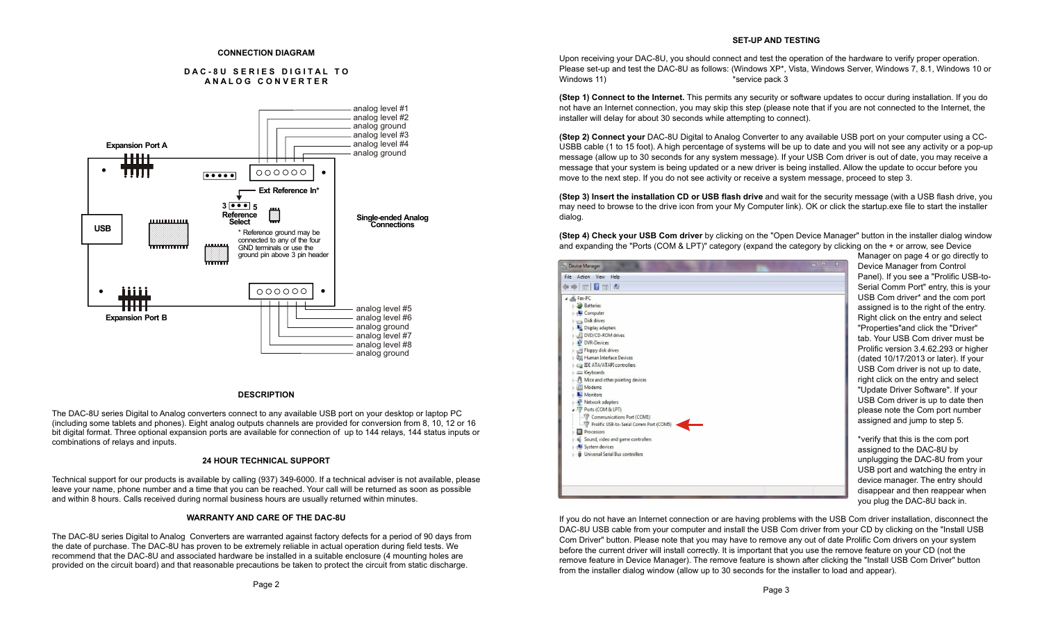#### **CONNECTION DIAGRAM**

#### **D A C - 8 U S E R I E S D I G I T A L T O A N A L O G C O N V E R T E R**



#### **DESCRIPTION**

The DAC-8U series Digital to Analog converters connect to any available USB port on your desktop or laptop PC (including some tablets and phones). Eight analog outputs channels are provided for conversion from 8, 10, 12 or 16 bit digital format. Three optional expansion ports are available for connection of up to 144 relays, 144 status inputs or combinations of relays and inputs.

## **24 HOUR TECHNICAL SUPPORT**

Technical support for our products is available by calling (937) 349-6000. If a technical adviser is not available, please leave your name, phone number and a time that you can be reached. Your call will be returned as soon as possible and within 8 hours. Calls received during normal business hours are usually returned within minutes.

#### **WARRANTY AND CARE OF THE DAC-8U**

The DAC-8U series Digital to Analog Converters are warranted against factory defects for a period of 90 days from the date of purchase. The DAC-8U has proven to be extremely reliable in actual operation during field tests. We recommend that the DAC-8U and associated hardware be installed in a suitable enclosure (4 mounting holes are provided on the circuit board) and that reasonable precautions be taken to protect the circuit from static discharge.

Upon receiving your DAC-8U, you should connect and test the operation of the hardware to verify proper operation. Please set-up and test the DAC-8U as follows: (Windows XP\*, Vista, Windows Server, Windows 7, 8.1, Windows 10 or Windows 11) The service pack 3

**(Step 1) Connect to the Internet.** This permits any security or software updates to occur during installation. If you do not have an Internet connection, you may skip this step (please note that if you are not connected to the Internet, the installer will delay for about 30 seconds while attempting to connect).

**(Step 2) Connect your** DAC-8U Digital to Analog Converter to any available USB port on your computer using a CC-USBB cable (1 to 15 foot). A high percentage of systems will be up to date and you will not see any activity or a pop-up message (allow up to 30 seconds for any system message). If your USB Com driver is out of date, you may receive a message that your system is being updated or a new driver is being installed. Allow the update to occur before you move to the next step. If you do not see activity or receive a system message, proceed to step 3.

**(Step 3) Insert the installation CD or USB flash drive** and wait for the security message (with a USB flash drive, you may need to browse to the drive icon from your My Computer link). OK or click the startup.exe file to start the installer dialog.

**(Step 4) Check your USB Com driver** by clicking on the "Open Device Manager" button in the installer dialog window and expanding the "Ports (COM & LPT)" category (expand the category by clicking on the + or arrow, see Device

| D<br>$P_i$<br>File Action View Help<br>$\Leftrightarrow$ $\blacksquare$ $\blacksquare$<br>S <sub>0</sub><br>U.<br>4 <sup>-</sup> Fax-PC<br><b>Batteries</b><br>as<br><b>Computer</b><br>R<br>Disk drives<br>"F<br>Display adapters<br><b>DVD/CD-ROM drives</b><br>ta<br>DVR-Devices<br>P <sub>1</sub><br>Floppy disk drives<br><sup>D</sup> <sub>n</sub> Human Interface Devices<br>(d<br>DE ATA/ATAPI controllers |
|--------------------------------------------------------------------------------------------------------------------------------------------------------------------------------------------------------------------------------------------------------------------------------------------------------------------------------------------------------------------------------------------------------------------|
|                                                                                                                                                                                                                                                                                                                                                                                                                    |
|                                                                                                                                                                                                                                                                                                                                                                                                                    |
|                                                                                                                                                                                                                                                                                                                                                                                                                    |
|                                                                                                                                                                                                                                                                                                                                                                                                                    |
|                                                                                                                                                                                                                                                                                                                                                                                                                    |
|                                                                                                                                                                                                                                                                                                                                                                                                                    |
|                                                                                                                                                                                                                                                                                                                                                                                                                    |
|                                                                                                                                                                                                                                                                                                                                                                                                                    |
|                                                                                                                                                                                                                                                                                                                                                                                                                    |
|                                                                                                                                                                                                                                                                                                                                                                                                                    |
|                                                                                                                                                                                                                                                                                                                                                                                                                    |
|                                                                                                                                                                                                                                                                                                                                                                                                                    |
| U<br>Exploards                                                                                                                                                                                                                                                                                                                                                                                                     |
| <b>Mice and other pointing devices</b><br>riç                                                                                                                                                                                                                                                                                                                                                                      |
| Modems<br>"ሀ                                                                                                                                                                                                                                                                                                                                                                                                       |
| Monitors                                                                                                                                                                                                                                                                                                                                                                                                           |
| U<br>Network adapters                                                                                                                                                                                                                                                                                                                                                                                              |
| Ports (COM & LPT)<br>pl                                                                                                                                                                                                                                                                                                                                                                                            |
| Communications Port (COM1)                                                                                                                                                                                                                                                                                                                                                                                         |
| as<br>Prolific USB-to-Serial Comm Port (COM5)                                                                                                                                                                                                                                                                                                                                                                      |
| Processors                                                                                                                                                                                                                                                                                                                                                                                                         |
| *v<br>Sound, video and game controllers                                                                                                                                                                                                                                                                                                                                                                            |
| System devices<br>as                                                                                                                                                                                                                                                                                                                                                                                               |
| <b>b</b> Universal Serial Bus controllers                                                                                                                                                                                                                                                                                                                                                                          |
| ur                                                                                                                                                                                                                                                                                                                                                                                                                 |
| U                                                                                                                                                                                                                                                                                                                                                                                                                  |
| d                                                                                                                                                                                                                                                                                                                                                                                                                  |
|                                                                                                                                                                                                                                                                                                                                                                                                                    |
| di                                                                                                                                                                                                                                                                                                                                                                                                                 |

Manager on page 4 or go directly to evice Manager from Control anel). If you see a "Prolific USB-toerial Comm Port" entry, this is your USB Com driver\* and the com port ssigned is to the right of the entry. ight click on the entry and select Properties"and click the "Driver" the Your USB Com driver must be rolific version 3.4.62.293 or higher lated 10/17/2013 or later). If your SB Com driver is not up to date. aht click on the entry and select Update Driver Software". If your SB Com driver is up to date then lease note the Com port number ssigned and jump to step 5.

erify that this is the com port ssigned to the DAC-8U by nplugging the DAC-8U from your USB port and watching the entry in evice manager. The entry should sappear and then reappear when you plug the DAC-8U back in.

If you do not have an Internet connection or are having problems with the USB Com driver installation, disconnect the DAC-8U USB cable from your computer and install the USB Com driver from your CD by clicking on the "Install USB Com Driver" button. Please note that you may have to remove any out of date Prolific Com drivers on your system before the current driver will install correctly. It is important that you use the remove feature on your CD (not the remove feature in Device Manager). The remove feature is shown after clicking the "Install USB Com Driver" button from the installer dialog window (allow up to 30 seconds for the installer to load and appear).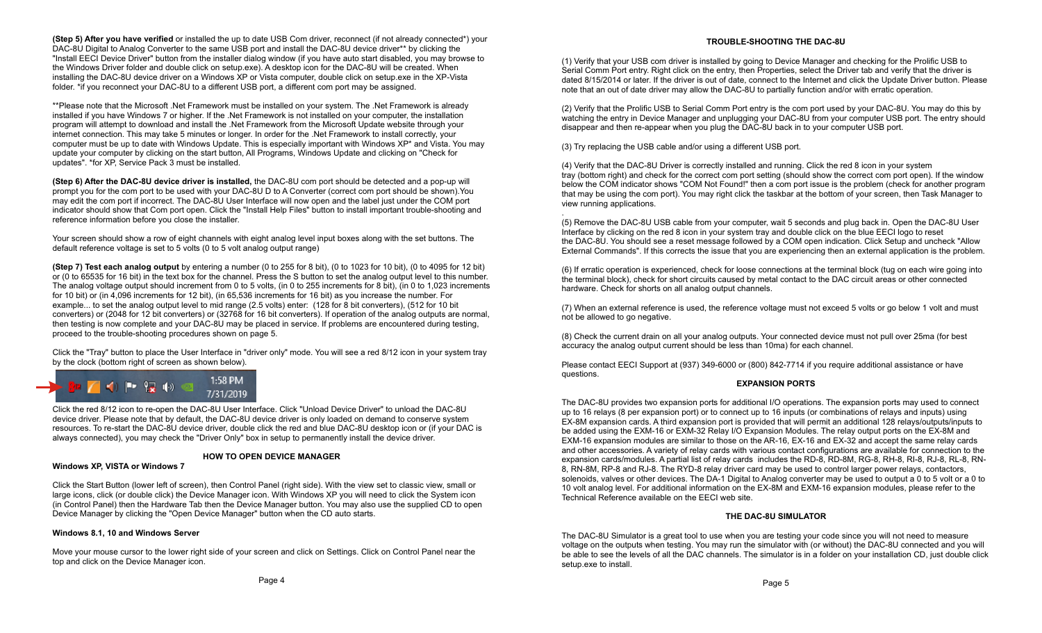**(Step 5) After you have verified** or installed the up to date USB Com driver, reconnect (if not already connected\*) your DAC-8U Digital to Analog Converter to the same USB port and install the DAC-8U device driver\*\* by clicking the "Install EECI Device Driver" button from the installer dialog window (if you have auto start disabled, you may browse to the Windows Driver folder and double click on setup.exe). A desktop icon for the DAC-8U will be created. When installing the DAC-8U device driver on a Windows XP or Vista computer, double click on setup.exe in the XP-Vista folder. \*if you reconnect your DAC-8U to a different USB port, a different com port may be assigned.

\*\*Please note that the Microsoft .Net Framework must be installed on your system. The .Net Framework is already installed if you have Windows 7 or higher. If the .Net Framework is not installed on your computer, the installation program will attempt to download and install the .Net Framework from the Microsoft Update website through your internet connection. This may take 5 minutes or longer. In order for the .Net Framework to install correctly, your computer must be up to date with Windows Update. This is especially important with Windows XP\* and Vista. You may update your computer by clicking on the start button, All Programs, Windows Update and clicking on "Check for updates". \*for XP, Service Pack 3 must be installed.

**(Step 6) After the DAC-8U device driver is installed,** the DAC-8U com port should be detected and a pop-up will prompt you for the com port to be used with your DAC-8U D to A Converter (correct com port should be shown).You may edit the com port if incorrect. The DAC-8U User Interface will now open and the label just under the COM port indicator should show that Com port open. Click the "Install Help Files" button to install important trouble-shooting and reference information before you close the installer.

Your screen should show a row of eight channels with eight analog level input boxes along with the set buttons. The default reference voltage is set to 5 volts (0 to 5 volt analog output range)

**(Step 7) Test each analog output** by entering a number (0 to 255 for 8 bit), (0 to 1023 for 10 bit), (0 to 4095 for 12 bit) or (0 to 65535 for 16 bit) in the text box for the channel. Press the S button to set the analog output level to this number. The analog voltage output should increment from 0 to 5 volts, (in 0 to 255 increments for 8 bit), (in 0 to 1,023 increments for 10 bit) or (in 4,096 increments for 12 bit), (in 65,536 increments for 16 bit) as you increase the number. For example... to set the analog output level to mid range (2.5 volts) enter: (128 for 8 bit converters), (512 for 10 bit converters) or (2048 for 12 bit converters) or (32768 for 16 bit converters). If operation of the analog outputs are normal, then testing is now complete and your DAC-8U may be placed in service. If problems are encountered during testing, proceed to the trouble-shooting procedures shown on page 5.

Click the "Tray" button to place the User Interface in "driver only" mode. You will see a red 8/12 icon in your system tray by the clock (bottom right of screen as shown below).



Click the red 8/12 icon to re-open the DAC-8U User Interface. Click "Unload Device Driver" to unload the DAC-8U device driver. Please note that by default, the DAC-8U device driver is only loaded on demand to conserve system resources. To re-start the DAC-8U device driver, double click the red and blue DAC-8U desktop icon or (if your DAC is always connected), you may check the "Driver Only" box in setup to permanently install the device driver.

#### **HOW TO OPEN DEVICE MANAGER**

**Windows XP, VISTA or Windows 7**

Click the Start Button (lower left of screen), then Control Panel (right side). With the view set to classic view, small or large icons, click (or double click) the Device Manager icon. With Windows XP you will need to click the System icon (in Control Panel) then the Hardware Tab then the Device Manager button. You may also use the supplied CD to open Device Manager by clicking the "Open Device Manager" button when the CD auto starts.

# **Windows 8.1, 10 and Windows Server**

Move your mouse cursor to the lower right side of your screen and click on Settings. Click on Control Panel near the top and click on the Device Manager icon.

## **TROUBLE-SHOOTING THE DAC-8U**

(1) Verify that your USB com driver is installed by going to Device Manager and checking for the Prolific USB to Serial Comm Port entry. Right click on the entry, then Properties, select the Driver tab and verify that the driver is dated 8/15/2014 or later. If the driver is out of date, connect to the Internet and click the Update Driver button. Please note that an out of date driver may allow the DAC-8U to partially function and/or with erratic operation.

(2) Verify that the Prolific USB to Serial Comm Port entry is the com port used by your DAC-8U. You may do this by watching the entry in Device Manager and unplugging your DAC-8U from your computer USB port. The entry should disappear and then re-appear when you plug the DAC-8U back in to your computer USB port.

(3) Try replacing the USB cable and/or using a different USB port.

(4) Verify that the DAC-8U Driver is correctly installed and running. Click the red 8 icon in your system tray (bottom right) and check for the correct com port setting (should show the correct com port open). If the window below the COM indicator shows "COM Not Found!" then a com port issue is the problem (check for another program that may be using the com port). You may right click the taskbar at the bottom of your screen, then Task Manager to view running applications.

. (5) Remove the DAC-8U USB cable from your computer, wait 5 seconds and plug back in. Open the DAC-8U User Interface by clicking on the red 8 icon in your system tray and double click on the blue EECI logo to reset the DAC-8U. You should see a reset message followed by a COM open indication. Click Setup and uncheck "Allow External Commands". If this corrects the issue that you are experiencing then an external application is the problem.

(6) If erratic operation is experienced, check for loose connections at the terminal block (tug on each wire going into the terminal block), check for short circuits caused by metal contact to the DAC circuit areas or other connected hardware. Check for shorts on all analog output channels.

(7) When an external reference is used, the reference voltage must not exceed 5 volts or go below 1 volt and must not be allowed to go negative.

(8) Check the current drain on all your analog outputs. Your connected device must not pull over 25ma (for best accuracy the analog output current should be less than 10ma) for each channel.

Please contact EECI Support at (937) 349-6000 or (800) 842-7714 if you require additional assistance or have questions.

#### **EXPANSION PORTS**

The DAC-8U provides two expansion ports for additional I/O operations. The expansion ports may used to connect up to 16 relays (8 per expansion port) or to connect up to 16 inputs (or combinations of relays and inputs) using EX-8M expansion cards. A third expansion port is provided that will permit an additional 128 relays/outputs/inputs to be added using the EXM-16 or EXM-32 Relay I/O Expansion Modules. The relay output ports on the EX-8M and EXM-16 expansion modules are similar to those on the AR-16, EX-16 and EX-32 and accept the same relay cards and other accessories. A variety of relay cards with various contact configurations are available for connection to the expansion cards/modules. A partial list of relay cards includes the RD-8, RD-8M, RG-8, RH-8, RI-8, RJ-8, RL-8, RN-8, RN-8M, RP-8 and RJ-8. The RYD-8 relay driver card may be used to control larger power relays, contactors, solenoids, valves or other devices. The DA-1 Digital to Analog converter may be used to output a 0 to 5 volt or a 0 to 10 volt analog level. For additional information on the EX-8M and EXM-16 expansion modules, please refer to the Technical Reference available on the EECI web site.

#### **THE DAC-8U SIMULATOR**

The DAC-8U Simulator is a great tool to use when you are testing your code since you will not need to measure voltage on the outputs when testing. You may run the simulator with (or without) the DAC-8U connected and you will be able to see the levels of all the DAC channels. The simulator is in a folder on your installation CD, just double click setup.exe to install.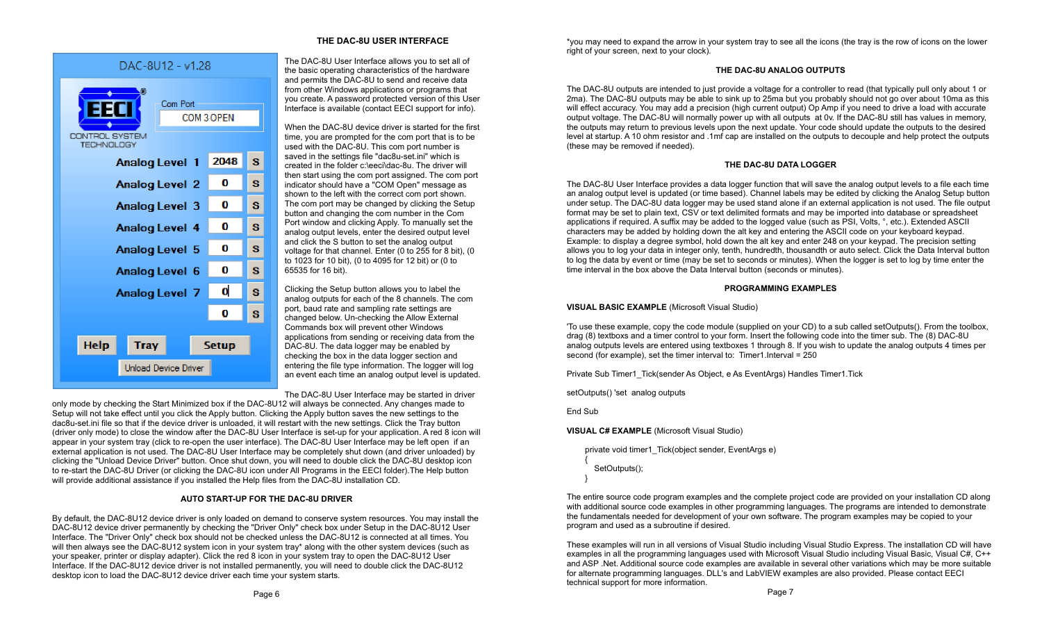

# **THE DAC-8U USER INTERFACE**

The DAC-8U User Interface allows you to set all of the basic operating characteristics of the hardware and permits the DAC-8U to send and receive data from other Windows applications or programs that you create. A password protected version of this User Interface is available (contact EECI support for info).

When the DAC-8U device driver is started for the first time, you are prompted for the com port that is to be used with the DAC-8U. This com port number is saved in the settings file "dac8u-set.ini" which is created in the folder c:\eeci\dac-8u. The driver will then start using the com port assigned. The com port indicator should have a "COM Open" message as shown to the left with the correct com port shown. The com port may be changed by clicking the Setup button and changing the com number in the Com Port window and clicking Apply. To manually set the analog output levels, enter the desired output level and click the S button to set the analog output voltage for that channel. Enter (0 to 255 for 8 bit), (0 to 1023 for 10 bit), (0 to 4095 for 12 bit) or (0 to 65535 for 16 bit).

Clicking the Setup button allows you to label the analog outputs for each of the 8 channels. The com port, baud rate and sampling rate settings are changed below. Un-checking the Allow External Commands box will prevent other Windows applications from sending or receiving data from the DAC-8U. The data logger may be enabled by checking the box in the data logger section and entering the file type information. The logger will log an event each time an analog output level is updated.

The DAC-8U User Interface may be started in driver

only mode by checking the Start Minimized box if the DAC-8U12 will always be connected. Any changes made to Setup will not take effect until you click the Apply button. Clicking the Apply button saves the new settings to the dac8u-set.ini file so that if the device driver is unloaded, it will restart with the new settings. Click the Tray button (driver only mode) to close the window after the DAC-8U User Interface is set-up for your application. A red 8 icon will appear in your system tray (click to re-open the user interface). The DAC-8U User Interface may be left open if an external application is not used. The DAC-8U User Interface may be completely shut down (and driver unloaded) by clicking the "Unload Device Driver" button. Once shut down, you will need to double click the DAC-8U desktop icon to re-start the DAC-8U Driver (or clicking the DAC-8U icon under All Programs in the EECI folder).The Help button will provide additional assistance if you installed the Help files from the DAC-8U installation CD.

# **AUTO START-UP FOR THE DAC-8U DRIVER**

By default, the DAC-8U12 device driver is only loaded on demand to conserve system resources. You may install the DAC-8U12 device driver permanently by checking the "Driver Only" check box under Setup in the DAC-8U12 User Interface. The "Driver Only" check box should not be checked unless the DAC-8U12 is connected at all times. You will then always see the DAC-8U12 system icon in your system tray\* along with the other system devices (such as your speaker, printer or display adapter). Click the red 8 icon in your system tray to open the DAC-8U12 User Interface. If the DAC-8U12 device driver is not installed permanently, you will need to double click the DAC-8U12 desktop icon to load the DAC-8U12 device driver each time your system starts.

\*you may need to expand the arrow in your system tray to see all the icons (the tray is the row of icons on the lower right of your screen, next to your clock).

## **THE DAC-8U ANALOG OUTPUTS**

The DAC-8U outputs are intended to just provide a voltage for a controller to read (that typically pull only about 1 or 2ma). The DAC-8U outputs may be able to sink up to 25ma but you probably should not go over about 10ma as this will effect accuracy. You may add a precision (high current output) Op Amp if you need to drive a load with accurate output voltage. The DAC-8U will normally power up with all outputs at 0v. If the DAC-8U still has values in memory, the outputs may return to previous levels upon the next update. Your code should update the outputs to the desired level at startup. A 10 ohm resistor and .1mf cap are installed on the outputs to decouple and help protect the outputs (these may be removed if needed).

# **THE DAC-8U DATA LOGGER**

The DAC-8U User Interface provides a data logger function that will save the analog output levels to a file each time an analog output level is updated (or time based). Channel labels may be edited by clicking the Analog Setup button under setup. The DAC-8U data logger may be used stand alone if an external application is not used. The file output format may be set to plain text, CSV or text delimited formats and may be imported into database or spreadsheet applications if required. A suffix may be added to the logged value (such as PSI, Volts, °, etc.). Extended ASCII characters may be added by holding down the alt key and entering the ASCII code on your keyboard keypad. Example: to display a degree symbol, hold down the alt key and enter 248 on your keypad. The precision setting allows you to log your data in integer only, tenth, hundredth, thousandth or auto select. Click the Data Interval button to log the data by event or time (may be set to seconds or minutes). When the logger is set to log by time enter the time interval in the box above the Data Interval button (seconds or minutes).

## **PROGRAMMING EXAMPLES**

**VISUAL BASIC EXAMPLE** (Microsoft Visual Studio)

'To use these example, copy the code module (supplied on your CD) to a sub called setOutputs(). From the toolbox, drag (8) textboxs and a timer control to your form. Insert the following code into the timer sub. The (8) DAC-8U analog outputs levels are entered using textboxes 1 through 8. If you wish to update the analog outputs 4 times per second (for example), set the timer interval to: Timer1.Interval = 250

Private Sub Timer1\_Tick(sender As Object, e As EventArgs) Handles Timer1.Tick

setOutputs() 'set analog outputs

End Sub

**VISUAL C# EXAMPLE** (Microsoft Visual Studio)

private void timer1\_Tick(object sender, EventArgs e)  $\{$ SetOutputs(); }

The entire source code program examples and the complete project code are provided on your installation CD along with additional source code examples in other programming languages. The programs are intended to demonstrate the fundamentals needed for development of your own software. The program examples may be copied to your program and used as a subroutine if desired.

These examples will run in all versions of Visual Studio including Visual Studio Express. The installation CD will have examples in all the programming languages used with Microsoft Visual Studio including Visual Basic, Visual C#, C++ and ASP .Net. Additional source code examples are available in several other variations which may be more suitable for alternate programming languages. DLL's and LabVIEW examples are also provided. Please contact EECI technical support for more information.